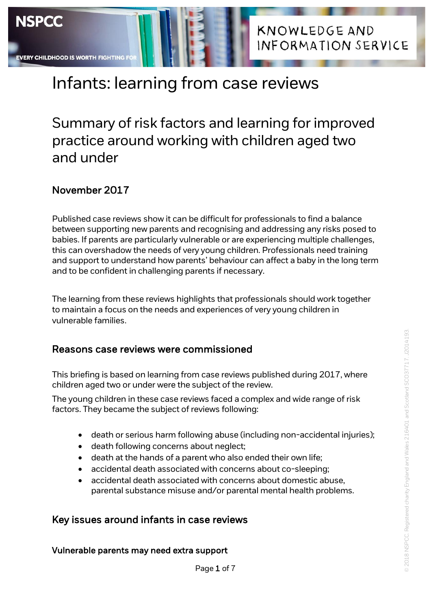# **KNOWLEDGE AND** INFORMATION SERVICE

# Infants: learning from case reviews

# Summary of risk factors and learning for improved practice around working with children aged two and under

## November 2017

Published case reviews show it can be difficult for professionals to find a balance between supporting new parents and recognising and addressing any risks posed to babies. If parents are particularly vulnerable or are experiencing multiple challenges, this can overshadow the needs of very young children. Professionals need training and support to understand how parents' behaviour can affect a baby in the long term and to be confident in challenging parents if necessary.

The learning from these reviews highlights that professionals should work together to maintain a focus on the needs and experiences of very young children in vulnerable families.

### Reasons case reviews were commissioned

This briefing is based on learning from case reviews published during 2017, where children aged two or under were the subject of the review.

The young children in these case reviews faced a complex and wide range of risk factors. They became the subject of reviews following:

- death or serious harm following abuse (including non-accidental injuries);
- death following concerns about neglect;
- death at the hands of a parent who also ended their own life;
- accidental death associated with concerns about co-sleeping;
- accidental death associated with concerns about domestic abuse, parental substance misuse and/or parental mental health problems.

Page 1 of 7

### Key issues around infants in case reviews

### Vulnerable parents may need extra support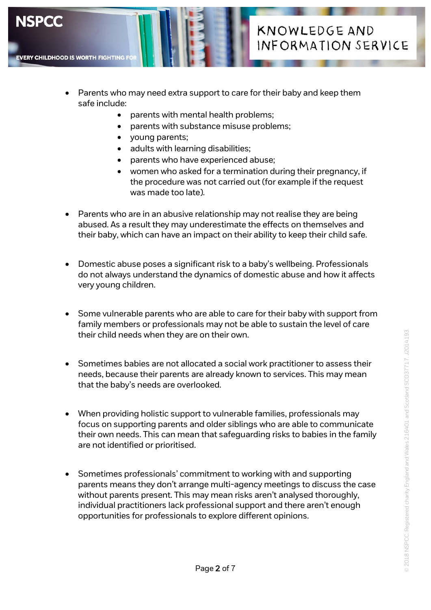

- Parents who may need extra support to care for their baby and keep them safe include:
	- parents with mental health problems;
	- parents with substance misuse problems:
	- young parents;

**NSPCC** 

**EVERY CHILDHOOD IS WORTH FIGHTING** 

- adults with learning disabilities;
- parents who have experienced abuse;
- women who asked for a termination during their pregnancy, if the procedure was not carried out (for example if the request was made too late).
- Parents who are in an abusive relationship may not realise they are being abused. As a result they may underestimate the effects on themselves and their baby, which can have an impact on their ability to keep their child safe.
- Domestic abuse poses a significant risk to a baby's wellbeing. Professionals do not always understand the dynamics of domestic abuse and how it affects very young children.
- Some vulnerable parents who are able to care for their baby with support from family members or professionals may not be able to sustain the level of care their child needs when they are on their own.
- Sometimes babies are not allocated a social work practitioner to assess their needs, because their parents are already known to services. This may mean that the baby's needs are overlooked.
- When providing holistic support to vulnerable families, professionals may focus on supporting parents and older siblings who are able to communicate their own needs. This can mean that safeguarding risks to babies in the family are not identified or prioritised.
- Sometimes professionals' commitment to working with and supporting parents means they don't arrange multi-agency meetings to discuss the case without parents present. This may mean risks aren't analysed thoroughly, individual practitioners lack professional support and there aren't enough opportunities for professionals to explore different opinions.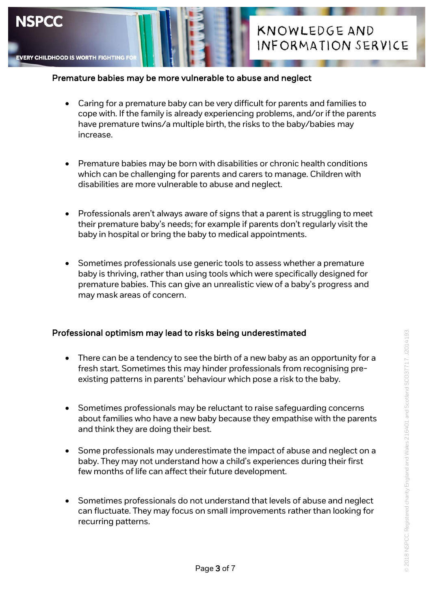

#### Premature babies may be more vulnerable to abuse and neglect

- Caring for a premature baby can be very difficult for parents and families to cope with. If the family is already experiencing problems, and/or if the parents have premature twins/a multiple birth, the risks to the baby/babies may increase.
- Premature babies may be born with disabilities or chronic health conditions which can be challenging for parents and carers to manage. Children with disabilities are more vulnerable to abuse and neglect.
- Professionals aren't always aware of signs that a parent is struggling to meet their premature baby's needs; for example if parents don't regularly visit the baby in hospital or bring the baby to medical appointments.
- Sometimes professionals use generic tools to assess whether a premature baby is thriving, rather than using tools which were specifically designed for premature babies. This can give an unrealistic view of a baby's progress and may mask areas of concern.

### Professional optimism may lead to risks being underestimated

- There can be a tendency to see the birth of a new baby as an opportunity for a fresh start. Sometimes this may hinder professionals from recognising preexisting patterns in parents' behaviour which pose a risk to the baby.
- Sometimes professionals may be reluctant to raise safeguarding concerns about families who have a new baby because they empathise with the parents and think they are doing their best.
- Some professionals may underestimate the impact of abuse and neglect on a baby. They may not understand how a child's experiences during their first few months of life can affect their future development.
- Sometimes professionals do not understand that levels of abuse and neglect can fluctuate. They may focus on small improvements rather than looking for recurring patterns.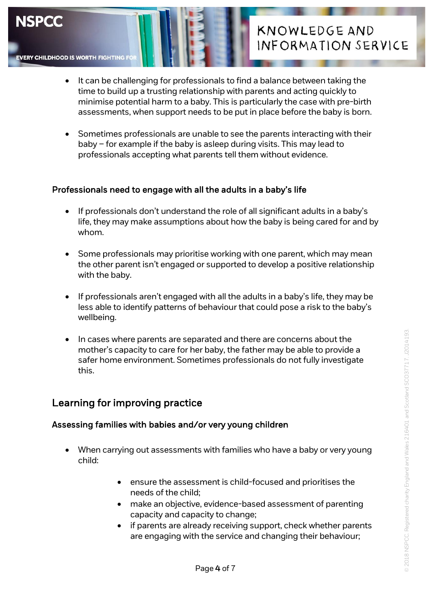

**EVERY CHILDHOOD IS WORTH FIGHTING F** 

# **KNOWLEDGE AND** INFORMATION SERVICE

- It can be challenging for professionals to find a balance between taking the time to build up a trusting relationship with parents and acting quickly to minimise potential harm to a baby. This is particularly the case with pre-birth assessments, when support needs to be put in place before the baby is born.
- Sometimes professionals are unable to see the parents interacting with their baby – for example if the baby is asleep during visits. This may lead to professionals accepting what parents tell them without evidence.

### Professionals need to engage with all the adults in a baby's life

- If professionals don't understand the role of all significant adults in a baby's life, they may make assumptions about how the baby is being cared for and by whom.
- Some professionals may prioritise working with one parent, which may mean the other parent isn't engaged or supported to develop a positive relationship with the baby.
- If professionals aren't engaged with all the adults in a baby's life, they may be less able to identify patterns of behaviour that could pose a risk to the baby's wellbeing.
- In cases where parents are separated and there are concerns about the mother's capacity to care for her baby, the father may be able to provide a safer home environment. Sometimes professionals do not fully investigate this.

### Learning for improving practice

### Assessing families with babies and/or very young children

- When carrying out assessments with families who have a baby or very young child:
	- ensure the assessment is child-focused and prioritises the needs of the child;
	- make an objective, evidence-based assessment of parenting capacity and capacity to change;
	- if parents are already receiving support, check whether parents are engaging with the service and changing their behaviour;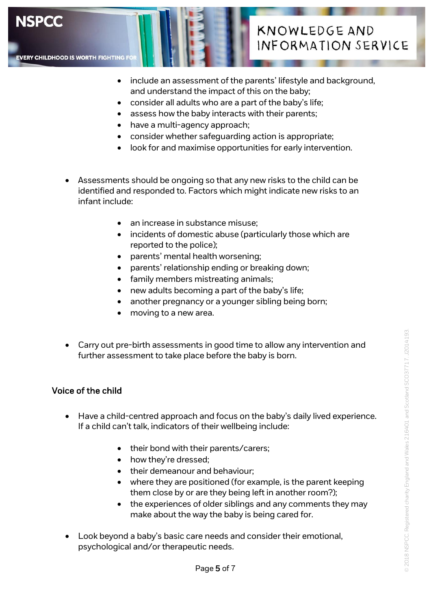

**EVERY CHILDHOOD IS WORTH FIGHTING I** 



- include an assessment of the parents' lifestyle and background, and understand the impact of this on the baby;
- consider all adults who are a part of the baby's life;
- assess how the baby interacts with their parents;
- have a multi-agency approach;
- consider whether safeguarding action is appropriate;
- look for and maximise opportunities for early intervention.
- Assessments should be ongoing so that any new risks to the child can be identified and responded to. Factors which might indicate new risks to an infant include:
	- an increase in substance misuse;
	- incidents of domestic abuse (particularly those which are reported to the police);
	- parents' mental health worsening;
	- parents' relationship ending or breaking down;
	- family members mistreating animals;
	- new adults becoming a part of the baby's life;
	- another pregnancy or a younger sibling being born;
	- moving to a new area.
- Carry out pre-birth assessments in good time to allow any intervention and further assessment to take place before the baby is born.

### Voice of the child

- Have a child-centred approach and focus on the baby's daily lived experience. If a child can't talk, indicators of their wellbeing include:
	- their bond with their parents/carers;
	- how they're dressed:
	- their demeanour and behaviour:
	- where they are positioned (for example, is the parent keeping them close by or are they being left in another room?);
	- the experiences of older siblings and any comments they may make about the way the baby is being cared for.
- Look beyond a baby's basic care needs and consider their emotional, psychological and/or therapeutic needs.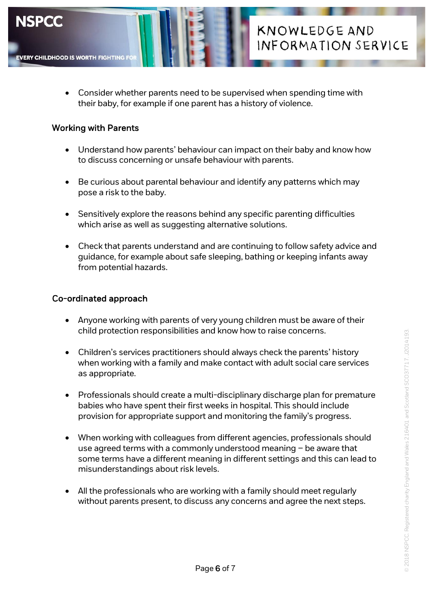

 Consider whether parents need to be supervised when spending time with their baby, for example if one parent has a history of violence.

**KNOWLEDGE AND** 

INFORMATION SERVICE

#### Working with Parents

- Understand how parents' behaviour can impact on their baby and know how to discuss concerning or unsafe behaviour with parents.
- Be curious about parental behaviour and identify any patterns which may pose a risk to the baby.
- Sensitively explore the reasons behind any specific parenting difficulties which arise as well as suggesting alternative solutions.
- Check that parents understand and are continuing to follow safety advice and guidance, for example about safe sleeping, bathing or keeping infants away from potential hazards.

#### Co-ordinated approach

- Anyone working with parents of very young children must be aware of their child protection responsibilities and know how to raise concerns.
- Children's services practitioners should always check the parents' history when working with a family and make contact with adult social care services as appropriate.
- Professionals should create a multi-disciplinary discharge plan for premature babies who have spent their first weeks in hospital. This should include provision for appropriate support and monitoring the family's progress.
- When working with colleagues from different agencies, professionals should use agreed terms with a commonly understood meaning – be aware that some terms have a different meaning in different settings and this can lead to misunderstandings about risk levels.
- All the professionals who are working with a family should meet regularly without parents present, to discuss any concerns and agree the next steps.